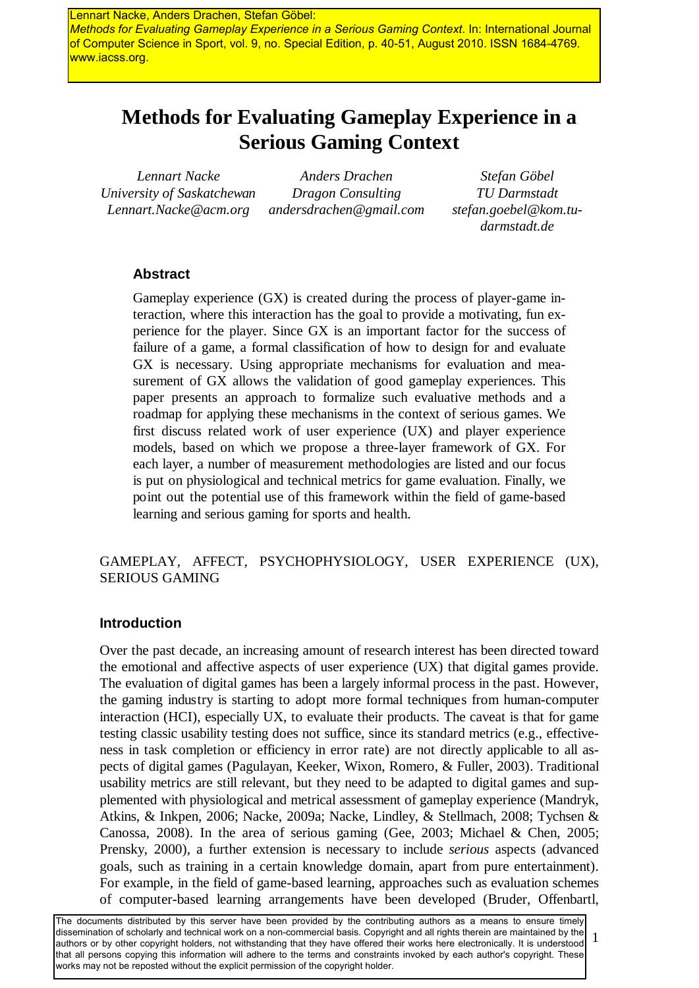Lennart Nacke, Anders Drachen, Stefan Göbel: *Methods for Evaluating Gameplay Experience in a Serious Gaming Context*. In: International Journal of Computer Science in Sport, vol. 9, no. Special Edition, p. 40-51, August 2010. ISSN 1684-4769. www.iacss.org.

# **Methods for Evaluating Gameplay Experience in a Serious Gaming Context**

*Lennart Nacke University of Saskatchewan Lennart.Nacke@acm.org*

*Anders Drachen Dragon Consulting andersdrachen@gmail.com*

*Stefan Göbel TU Darmstadt stefan.goebel@kom.tudarmstadt.de*

### **Abstract**

Gameplay experience (GX) is created during the process of player-game interaction, where this interaction has the goal to provide a motivating, fun experience for the player. Since GX is an important factor for the success of failure of a game, a formal classification of how to design for and evaluate GX is necessary. Using appropriate mechanisms for evaluation and measurement of GX allows the validation of good gameplay experiences. This paper presents an approach to formalize such evaluative methods and a roadmap for applying these mechanisms in the context of serious games. We first discuss related work of user experience (UX) and player experience models, based on which we propose a three-layer framework of GX. For each layer, a number of measurement methodologies are listed and our focus is put on physiological and technical metrics for game evaluation. Finally, we point out the potential use of this framework within the field of game-based learning and serious gaming for sports and health.

### GAMEPLAY, AFFECT, PSYCHOPHYSIOLOGY, USER EXPERIENCE (UX), SERIOUS GAMING

#### **Introduction**

Over the past decade, an increasing amount of research interest has been directed toward the emotional and affective aspects of user experience (UX) that digital games provide. The evaluation of digital games has been a largely informal process in the past. However, the gaming industry is starting to adopt more formal techniques from human-computer interaction (HCI), especially UX, to evaluate their products. The caveat is that for game testing classic usability testing does not suffice, since its standard metrics (e.g., effectiveness in task completion or efficiency in error rate) are not directly applicable to all aspects of digital games (Pagulayan, Keeker, Wixon, Romero, & Fuller, 2003). Traditional usability metrics are still relevant, but they need to be adapted to digital games and supplemented with physiological and metrical assessment of gameplay experience (Mandryk, Atkins, & Inkpen, 2006; Nacke, 2009a; Nacke, Lindley, & Stellmach, 2008; Tychsen & Canossa, 2008). In the area of serious gaming (Gee, 2003; Michael & Chen, 2005; Prensky, 2000), a further extension is necessary to include *serious* aspects (advanced goals, such as training in a certain knowledge domain, apart from pure entertainment). For example, in the field of game-based learning, approaches such as evaluation schemes of computer-based learning arrangements have been developed (Bruder, Offenbartl,

1 The documents distributed by this server have been provided by the contributing authors as a means to ensure timely dissemination of scholarly and technical work on a non-commercial basis. Copyright and all rights therein are maintained by the authors or by other copyright holders, not withstanding that they have offered their works here electronically. It is understood that all persons copying this information will adhere to the terms and constraints invoked by each author's copyright. These works may not be reposted without the explicit permission of the copyright holder.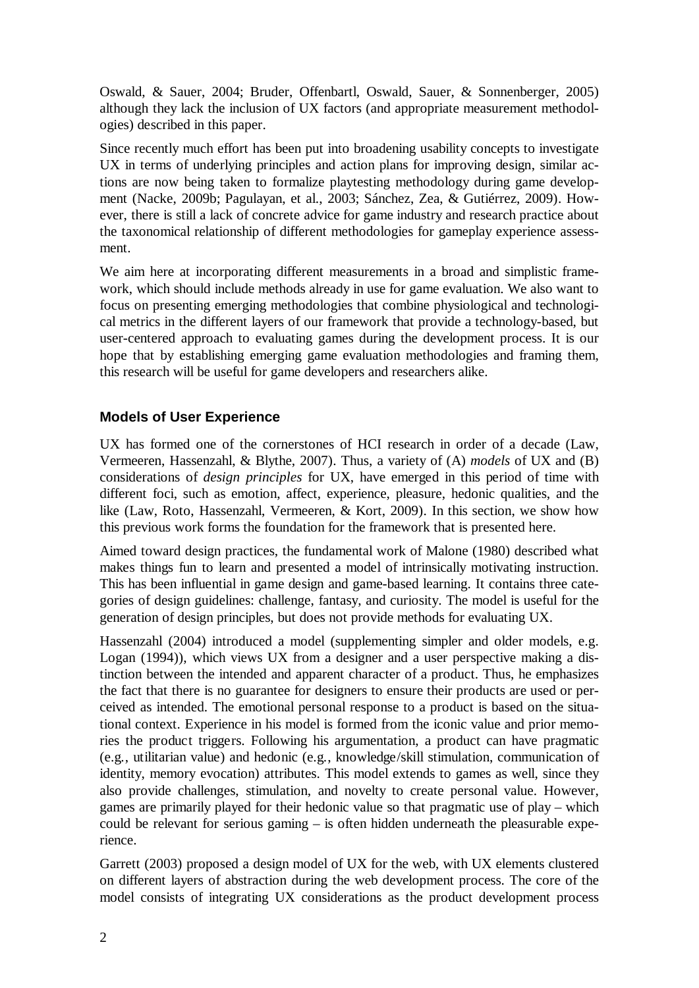Oswald, & Sauer, 2004; Bruder, Offenbartl, Oswald, Sauer, & Sonnenberger, 2005) although they lack the inclusion of UX factors (and appropriate measurement methodologies) described in this paper.

Since recently much effort has been put into broadening usability concepts to investigate UX in terms of underlying principles and action plans for improving design, similar actions are now being taken to formalize playtesting methodology during game development (Nacke, 2009b; Pagulayan, et al., 2003; Sánchez, Zea, & Gutiérrez, 2009). However, there is still a lack of concrete advice for game industry and research practice about the taxonomical relationship of different methodologies for gameplay experience assessment.

We aim here at incorporating different measurements in a broad and simplistic framework, which should include methods already in use for game evaluation. We also want to focus on presenting emerging methodologies that combine physiological and technological metrics in the different layers of our framework that provide a technology-based, but user-centered approach to evaluating games during the development process. It is our hope that by establishing emerging game evaluation methodologies and framing them, this research will be useful for game developers and researchers alike.

# **Models of User Experience**

UX has formed one of the cornerstones of HCI research in order of a decade (Law, Vermeeren, Hassenzahl, & Blythe, 2007). Thus, a variety of (A) *models* of UX and (B) considerations of *design principles* for UX, have emerged in this period of time with different foci, such as emotion, affect, experience, pleasure, hedonic qualities, and the like (Law, Roto, Hassenzahl, Vermeeren, & Kort, 2009). In this section, we show how this previous work forms the foundation for the framework that is presented here.

Aimed toward design practices, the fundamental work of Malone (1980) described what makes things fun to learn and presented a model of intrinsically motivating instruction. This has been influential in game design and game-based learning. It contains three categories of design guidelines: challenge, fantasy, and curiosity. The model is useful for the generation of design principles, but does not provide methods for evaluating UX.

Hassenzahl (2004) introduced a model (supplementing simpler and older models, e.g. Logan (1994)), which views UX from a designer and a user perspective making a distinction between the intended and apparent character of a product. Thus, he emphasizes the fact that there is no guarantee for designers to ensure their products are used or perceived as intended. The emotional personal response to a product is based on the situational context. Experience in his model is formed from the iconic value and prior memories the product triggers. Following his argumentation, a product can have pragmatic (e.g., utilitarian value) and hedonic (e.g., knowledge/skill stimulation, communication of identity, memory evocation) attributes. This model extends to games as well, since they also provide challenges, stimulation, and novelty to create personal value. However, games are primarily played for their hedonic value so that pragmatic use of play – which could be relevant for serious gaming – is often hidden underneath the pleasurable experience.

Garrett (2003) proposed a design model of UX for the web, with UX elements clustered on different layers of abstraction during the web development process. The core of the model consists of integrating UX considerations as the product development process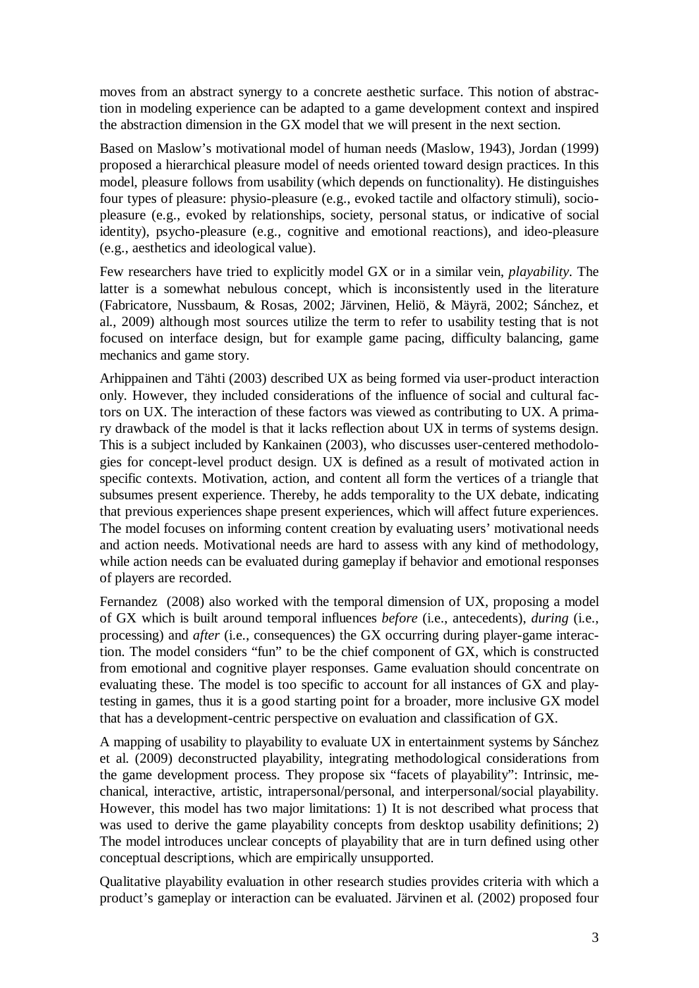moves from an abstract synergy to a concrete aesthetic surface. This notion of abstraction in modeling experience can be adapted to a game development context and inspired the abstraction dimension in the GX model that we will present in the next section.

Based on Maslow's motivational model of human needs (Maslow, 1943), Jordan (1999) proposed a hierarchical pleasure model of needs oriented toward design practices. In this model, pleasure follows from usability (which depends on functionality). He distinguishes four types of pleasure: physio-pleasure (e.g., evoked tactile and olfactory stimuli), sociopleasure (e.g., evoked by relationships, society, personal status, or indicative of social identity), psycho-pleasure (e.g., cognitive and emotional reactions), and ideo-pleasure (e.g., aesthetics and ideological value).

Few researchers have tried to explicitly model GX or in a similar vein, *playability*. The latter is a somewhat nebulous concept, which is inconsistently used in the literature (Fabricatore, Nussbaum, & Rosas, 2002; Järvinen, Heliö, & Mäyrä, 2002; Sánchez, et al., 2009) although most sources utilize the term to refer to usability testing that is not focused on interface design, but for example game pacing, difficulty balancing, game mechanics and game story.

Arhippainen and Tähti (2003) described UX as being formed via user-product interaction only. However, they included considerations of the influence of social and cultural factors on UX. The interaction of these factors was viewed as contributing to UX. A primary drawback of the model is that it lacks reflection about UX in terms of systems design. This is a subject included by Kankainen (2003), who discusses user-centered methodologies for concept-level product design. UX is defined as a result of motivated action in specific contexts. Motivation, action, and content all form the vertices of a triangle that subsumes present experience. Thereby, he adds temporality to the UX debate, indicating that previous experiences shape present experiences, which will affect future experiences. The model focuses on informing content creation by evaluating users' motivational needs and action needs. Motivational needs are hard to assess with any kind of methodology, while action needs can be evaluated during gameplay if behavior and emotional responses of players are recorded.

Fernandez (2008) also worked with the temporal dimension of UX, proposing a model of GX which is built around temporal influences *before* (i.e., antecedents), *during* (i.e., processing) and *after* (i.e., consequences) the GX occurring during player-game interaction. The model considers "fun" to be the chief component of GX, which is constructed from emotional and cognitive player responses. Game evaluation should concentrate on evaluating these. The model is too specific to account for all instances of GX and playtesting in games, thus it is a good starting point for a broader, more inclusive GX model that has a development-centric perspective on evaluation and classification of GX.

A mapping of usability to playability to evaluate UX in entertainment systems by Sánchez et al. (2009) deconstructed playability, integrating methodological considerations from the game development process. They propose six "facets of playability": Intrinsic, mechanical, interactive, artistic, intrapersonal/personal, and interpersonal/social playability. However, this model has two major limitations: 1) It is not described what process that was used to derive the game playability concepts from desktop usability definitions; 2) The model introduces unclear concepts of playability that are in turn defined using other conceptual descriptions, which are empirically unsupported.

Qualitative playability evaluation in other research studies provides criteria with which a product's gameplay or interaction can be evaluated. Järvinen et al. (2002) proposed four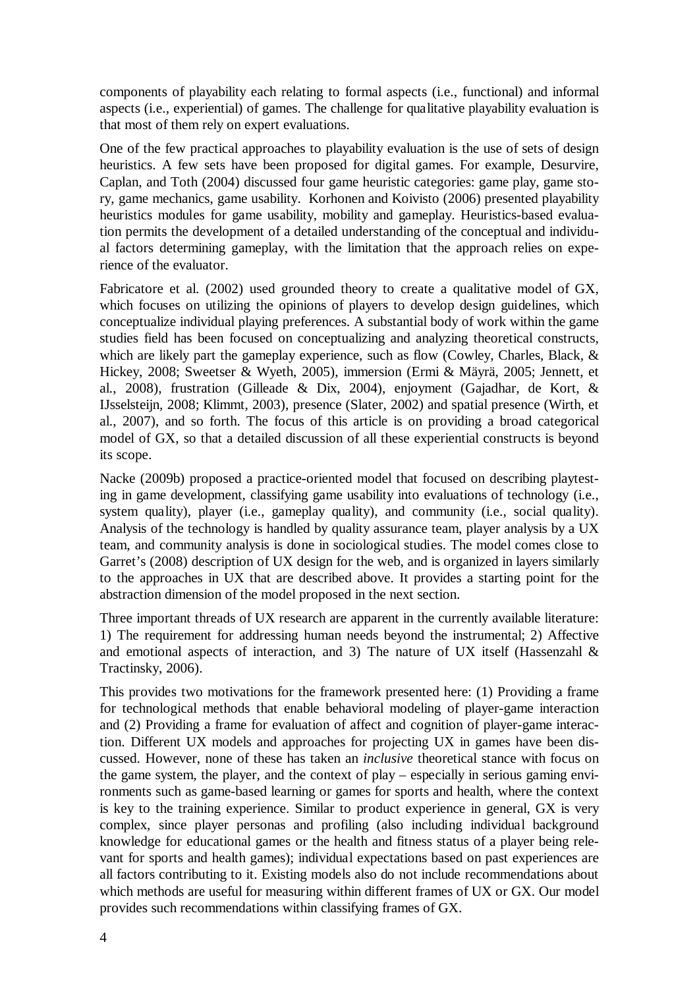components of playability each relating to formal aspects (i.e., functional) and informal aspects (i.e., experiential) of games. The challenge for qualitative playability evaluation is that most of them rely on expert evaluations.

One of the few practical approaches to playability evaluation is the use of sets of design heuristics. A few sets have been proposed for digital games. For example, Desurvire, Caplan, and Toth (2004) discussed four game heuristic categories: game play, game story, game mechanics, game usability. Korhonen and Koivisto (2006) presented playability heuristics modules for game usability, mobility and gameplay. Heuristics-based evaluation permits the development of a detailed understanding of the conceptual and individual factors determining gameplay, with the limitation that the approach relies on experience of the evaluator.

Fabricatore et al. (2002) used grounded theory to create a qualitative model of GX, which focuses on utilizing the opinions of players to develop design guidelines, which conceptualize individual playing preferences. A substantial body of work within the game studies field has been focused on conceptualizing and analyzing theoretical constructs, which are likely part the gameplay experience, such as flow (Cowley, Charles, Black, & Hickey, 2008; Sweetser & Wyeth, 2005), immersion (Ermi & Mäyrä, 2005; Jennett, et al., 2008), frustration (Gilleade & Dix, 2004), enjoyment (Gajadhar, de Kort, & IJsselsteijn, 2008; Klimmt, 2003), presence (Slater, 2002) and spatial presence (Wirth, et al., 2007), and so forth. The focus of this article is on providing a broad categorical model of GX, so that a detailed discussion of all these experiential constructs is beyond its scope.

Nacke (2009b) proposed a practice-oriented model that focused on describing playtesting in game development, classifying game usability into evaluations of technology (i.e., system quality), player (i.e., gameplay quality), and community (i.e., social quality). Analysis of the technology is handled by quality assurance team, player analysis by a UX team, and community analysis is done in sociological studies. The model comes close to Garret's (2008) description of UX design for the web, and is organized in layers similarly to the approaches in UX that are described above. It provides a starting point for the abstraction dimension of the model proposed in the next section.

Three important threads of UX research are apparent in the currently available literature: 1) The requirement for addressing human needs beyond the instrumental; 2) Affective and emotional aspects of interaction, and 3) The nature of UX itself (Hassenzahl  $\&$ Tractinsky, 2006).

This provides two motivations for the framework presented here: (1) Providing a frame for technological methods that enable behavioral modeling of player-game interaction and (2) Providing a frame for evaluation of affect and cognition of player-game interaction. Different UX models and approaches for projecting UX in games have been discussed. However, none of these has taken an *inclusive* theoretical stance with focus on the game system, the player, and the context of play – especially in serious gaming environments such as game-based learning or games for sports and health, where the context is key to the training experience. Similar to product experience in general, GX is very complex, since player personas and profiling (also including individual background knowledge for educational games or the health and fitness status of a player being relevant for sports and health games); individual expectations based on past experiences are all factors contributing to it. Existing models also do not include recommendations about which methods are useful for measuring within different frames of UX or GX. Our model provides such recommendations within classifying frames of GX.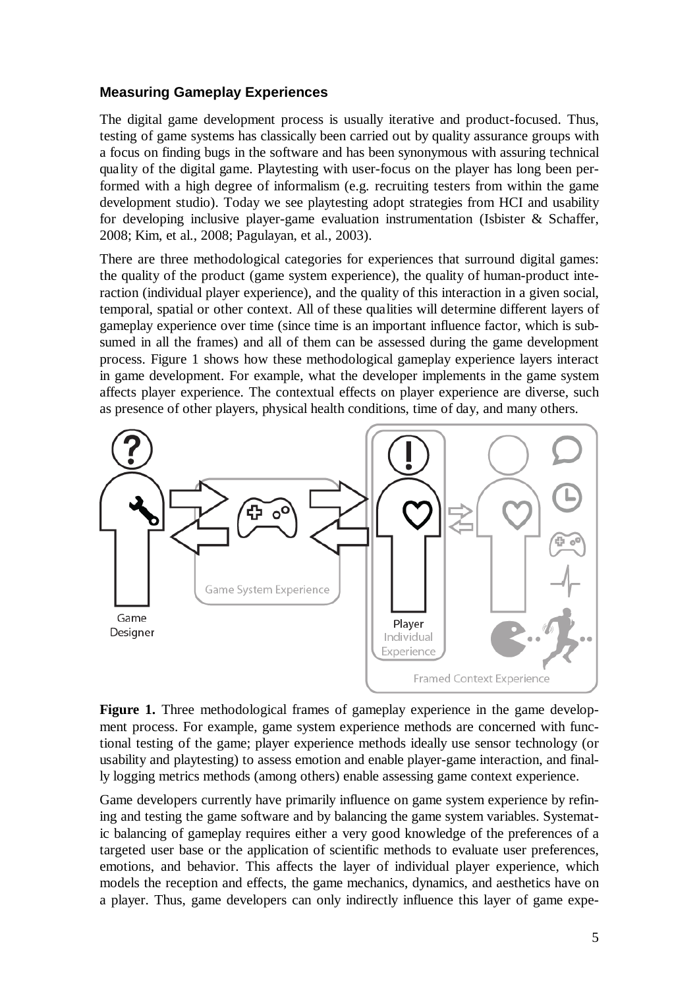#### **Measuring Gameplay Experiences**

The digital game development process is usually iterative and product-focused. Thus, testing of game systems has classically been carried out by quality assurance groups with a focus on finding bugs in the software and has been synonymous with assuring technical quality of the digital game. Playtesting with user-focus on the player has long been performed with a high degree of informalism (e.g. recruiting testers from within the game development studio). Today we see playtesting adopt strategies from HCI and usability for developing inclusive player-game evaluation instrumentation (Isbister  $\&$  Schaffer, 2008; Kim, et al., 2008; Pagulayan, et al., 2003).

There are three methodological categories for experiences that surround digital games: the quality of the product (game system experience), the quality of human-product interaction (individual player experience), and the quality of this interaction in a given social, temporal, spatial or other context. All of these qualities will determine different layers of gameplay experience over time (since time is an important influence factor, which is subsumed in all the frames) and all of them can be assessed during the game development process. Figure 1 shows how these methodological gameplay experience layers interact in game development. For example, what the developer implements in the game system affects player experience. The contextual effects on player experience are diverse, such as presence of other players, physical health conditions, time of day, and many others.



**Figure 1.** Three methodological frames of gameplay experience in the game development process. For example, game system experience methods are concerned with functional testing of the game; player experience methods ideally use sensor technology (or usability and playtesting) to assess emotion and enable player-game interaction, and finally logging metrics methods (among others) enable assessing game context experience.

Game developers currently have primarily influence on game system experience by refining and testing the game software and by balancing the game system variables. Systematic balancing of gameplay requires either a very good knowledge of the preferences of a targeted user base or the application of scientific methods to evaluate user preferences, emotions, and behavior. This affects the layer of individual player experience, which models the reception and effects, the game mechanics, dynamics, and aesthetics have on a player. Thus, game developers can only indirectly influence this layer of game expe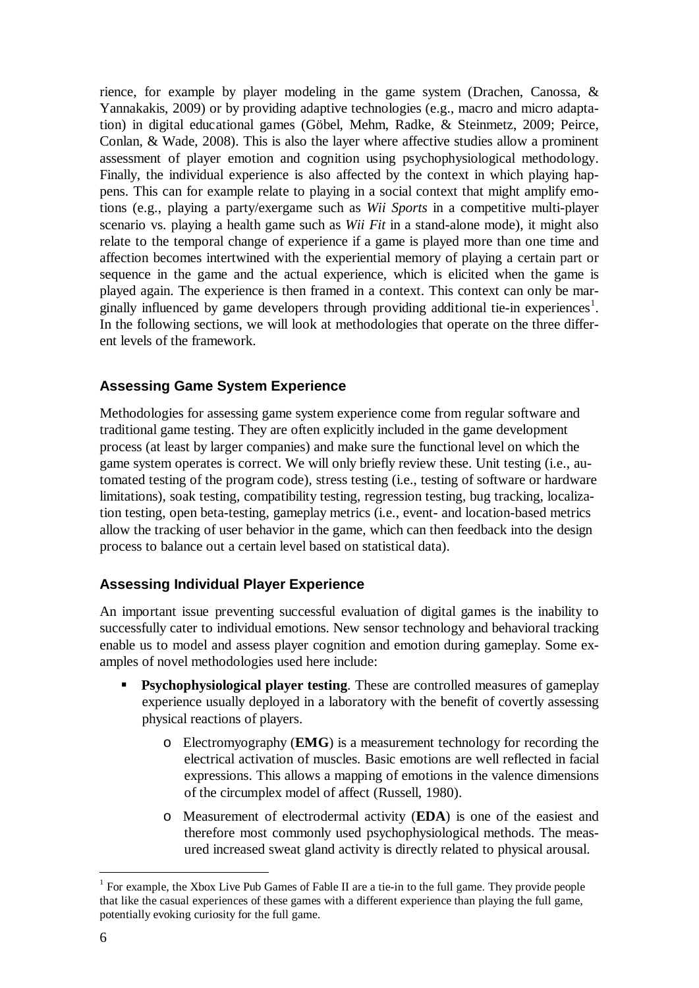rience, for example by player modeling in the game system (Drachen, Canossa, & Yannakakis, 2009) or by providing adaptive technologies (e.g., macro and micro adaptation) in digital educational games (Göbel, Mehm, Radke, & Steinmetz, 2009; Peirce, Conlan, & Wade, 2008). This is also the layer where affective studies allow a prominent assessment of player emotion and cognition using psychophysiological methodology. Finally, the individual experience is also affected by the context in which playing happens. This can for example relate to playing in a social context that might amplify emotions (e.g., playing a party/exergame such as *Wii Sports* in a competitive multi-player scenario vs. playing a health game such as *Wii Fit* in a stand-alone mode), it might also relate to the temporal change of experience if a game is played more than one time and affection becomes intertwined with the experiential memory of playing a certain part or sequence in the game and the actual experience, which is elicited when the game is played again. The experience is then framed in a context. This context can only be mar-ginally influenced by game developers through providing additional tie-in experiences<sup>[1](#page-5-0)</sup>. In the following sections, we will look at methodologies that operate on the three different levels of the framework.

### **Assessing Game System Experience**

Methodologies for assessing game system experience come from regular software and traditional game testing. They are often explicitly included in the game development process (at least by larger companies) and make sure the functional level on which the game system operates is correct. We will only briefly review these. Unit testing (i.e., automated testing of the program code), stress testing (i.e., testing of software or hardware limitations), soak testing, compatibility testing, regression testing, bug tracking, localization testing, open beta-testing, gameplay metrics (i.e., event- and location-based metrics allow the tracking of user behavior in the game, which can then feedback into the design process to balance out a certain level based on statistical data).

### **Assessing Individual Player Experience**

An important issue preventing successful evaluation of digital games is the inability to successfully cater to individual emotions. New sensor technology and behavioral tracking enable us to model and assess player cognition and emotion during gameplay. Some examples of novel methodologies used here include:

- **Psychophysiological player testing**. These are controlled measures of gameplay experience usually deployed in a laboratory with the benefit of covertly assessing physical reactions of players.
	- o Electromyography (**EMG**) is a measurement technology for recording the electrical activation of muscles. Basic emotions are well reflected in facial expressions. This allows a mapping of emotions in the valence dimensions of the circumplex model of affect (Russell, 1980).
	- o Measurement of electrodermal activity (**EDA**) is one of the easiest and therefore most commonly used psychophysiological methods. The measured increased sweat gland activity is directly related to physical arousal.

<span id="page-5-0"></span><sup>&</sup>lt;sup>1</sup> For example, the Xbox Live Pub Games of Fable II are a tie-in to the full game. They provide people that like the casual experiences of these games with a different experience than playing the full game, potentially evoking curiosity for the full game.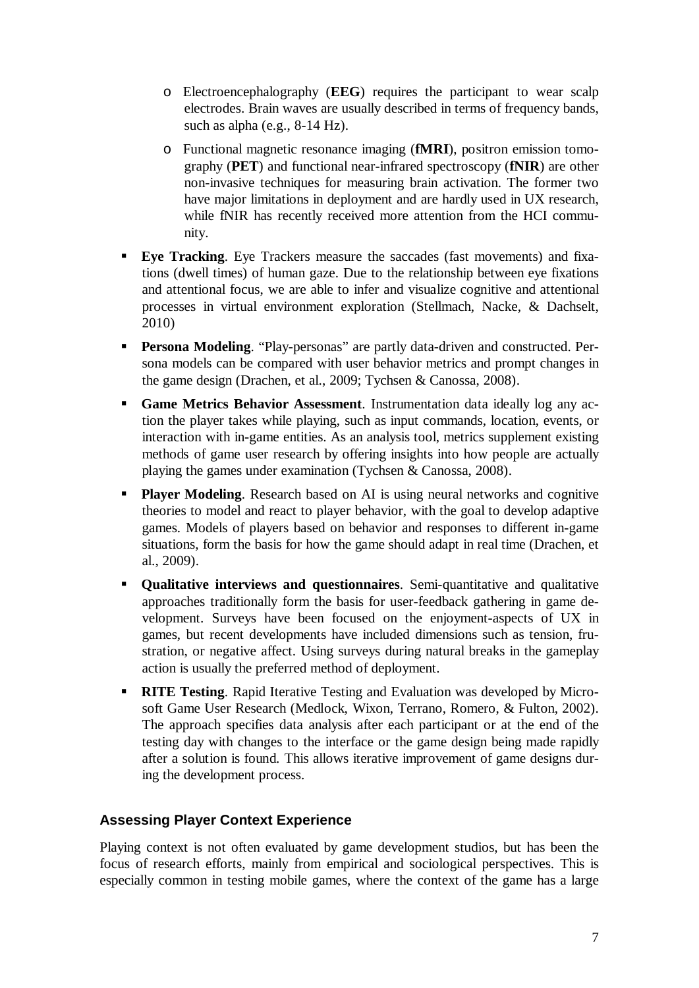- o Electroencephalography (**EEG**) requires the participant to wear scalp electrodes. Brain waves are usually described in terms of frequency bands, such as alpha (e.g., 8-14 Hz).
- o Functional magnetic resonance imaging (**fMRI**), positron emission tomography (**PET**) and functional near-infrared spectroscopy (**fNIR**) are other non-invasive techniques for measuring brain activation. The former two have major limitations in deployment and are hardly used in UX research, while fNIR has recently received more attention from the HCI community.
- **Eye Tracking**. Eye Trackers measure the saccades (fast movements) and fixations (dwell times) of human gaze. Due to the relationship between eye fixations and attentional focus, we are able to infer and visualize cognitive and attentional processes in virtual environment exploration (Stellmach, Nacke, & Dachselt, 2010)
- **Persona Modeling**. "Play-personas" are partly data-driven and constructed. Persona models can be compared with user behavior metrics and prompt changes in the game design (Drachen, et al., 2009; Tychsen & Canossa, 2008).
- **Game Metrics Behavior Assessment**. Instrumentation data ideally log any action the player takes while playing, such as input commands, location, events, or interaction with in-game entities. As an analysis tool, metrics supplement existing methods of game user research by offering insights into how people are actually playing the games under examination (Tychsen & Canossa, 2008).
- **Player Modeling.** Research based on AI is using neural networks and cognitive theories to model and react to player behavior, with the goal to develop adaptive games. Models of players based on behavior and responses to different in-game situations, form the basis for how the game should adapt in real time (Drachen, et al., 2009).
- **Qualitative interviews and questionnaires**. Semi-quantitative and qualitative approaches traditionally form the basis for user-feedback gathering in game development. Surveys have been focused on the enjoyment-aspects of UX in games, but recent developments have included dimensions such as tension, frustration, or negative affect. Using surveys during natural breaks in the gameplay action is usually the preferred method of deployment.
- **RITE Testing**. Rapid Iterative Testing and Evaluation was developed by Microsoft Game User Research (Medlock, Wixon, Terrano, Romero, & Fulton, 2002). The approach specifies data analysis after each participant or at the end of the testing day with changes to the interface or the game design being made rapidly after a solution is found. This allows iterative improvement of game designs during the development process.

### **Assessing Player Context Experience**

Playing context is not often evaluated by game development studios, but has been the focus of research efforts, mainly from empirical and sociological perspectives. This is especially common in testing mobile games, where the context of the game has a large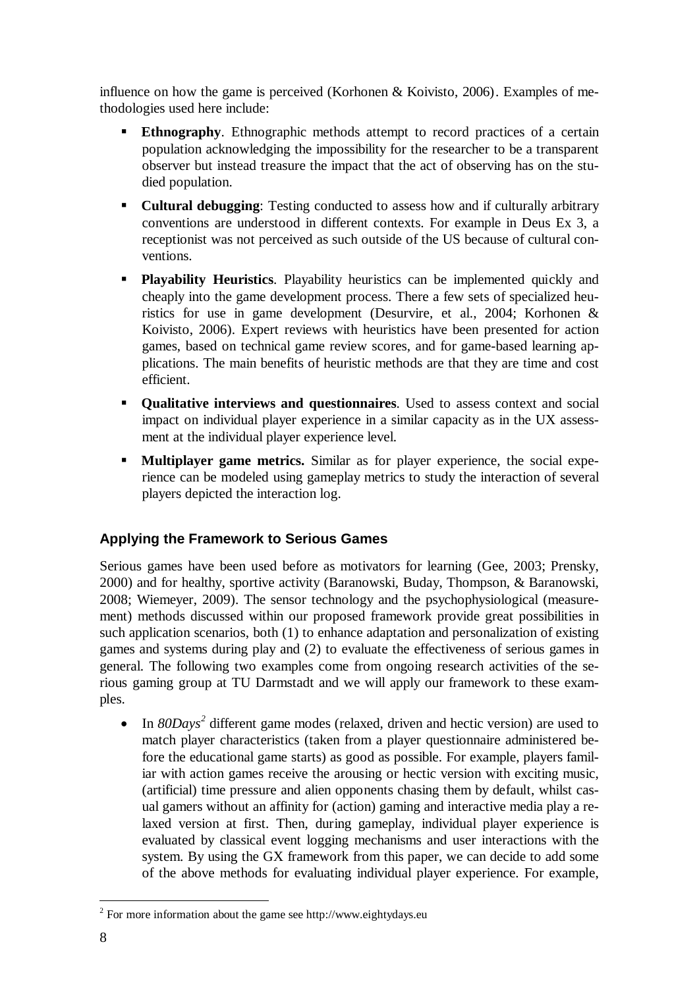influence on how the game is perceived (Korhonen & Koivisto, 2006). Examples of methodologies used here include:

- **Ethnography**. Ethnographic methods attempt to record practices of a certain population acknowledging the impossibility for the researcher to be a transparent observer but instead treasure the impact that the act of observing has on the studied population.
- **Cultural debugging**: Testing conducted to assess how and if culturally arbitrary conventions are understood in different contexts. For example in Deus Ex 3, a receptionist was not perceived as such outside of the US because of cultural conventions.
- **Playability Heuristics**. Playability heuristics can be implemented quickly and cheaply into the game development process. There a few sets of specialized heuristics for use in game development (Desurvire, et al., 2004; Korhonen & Koivisto, 2006). Expert reviews with heuristics have been presented for action games, based on technical game review scores, and for game-based learning applications. The main benefits of heuristic methods are that they are time and cost efficient.
- **Qualitative interviews and questionnaires**. Used to assess context and social impact on individual player experience in a similar capacity as in the UX assessment at the individual player experience level.
- **Multiplayer game metrics.** Similar as for player experience, the social experience can be modeled using gameplay metrics to study the interaction of several players depicted the interaction log.

# **Applying the Framework to Serious Games**

Serious games have been used before as motivators for learning (Gee, 2003; Prensky, 2000) and for healthy, sportive activity (Baranowski, Buday, Thompson, & Baranowski, 2008; Wiemeyer, 2009). The sensor technology and the psychophysiological (measurement) methods discussed within our proposed framework provide great possibilities in such application scenarios, both (1) to enhance adaptation and personalization of existing games and systems during play and (2) to evaluate the effectiveness of serious games in general. The following two examples come from ongoing research activities of the serious gaming group at TU Darmstadt and we will apply our framework to these examples.

• In *80Days*<sup>[2](#page-7-0)</sup> different game modes (relaxed, driven and hectic version) are used to match player characteristics (taken from a player questionnaire administered before the educational game starts) as good as possible. For example, players familiar with action games receive the arousing or hectic version with exciting music, (artificial) time pressure and alien opponents chasing them by default, whilst casual gamers without an affinity for (action) gaming and interactive media play a relaxed version at first. Then, during gameplay, individual player experience is evaluated by classical event logging mechanisms and user interactions with the system. By using the GX framework from this paper, we can decide to add some of the above methods for evaluating individual player experience. For example,

<span id="page-7-0"></span> <sup>2</sup> For more information about the game see [http://www.eightydays.eu](http://www.eightydays.eu/)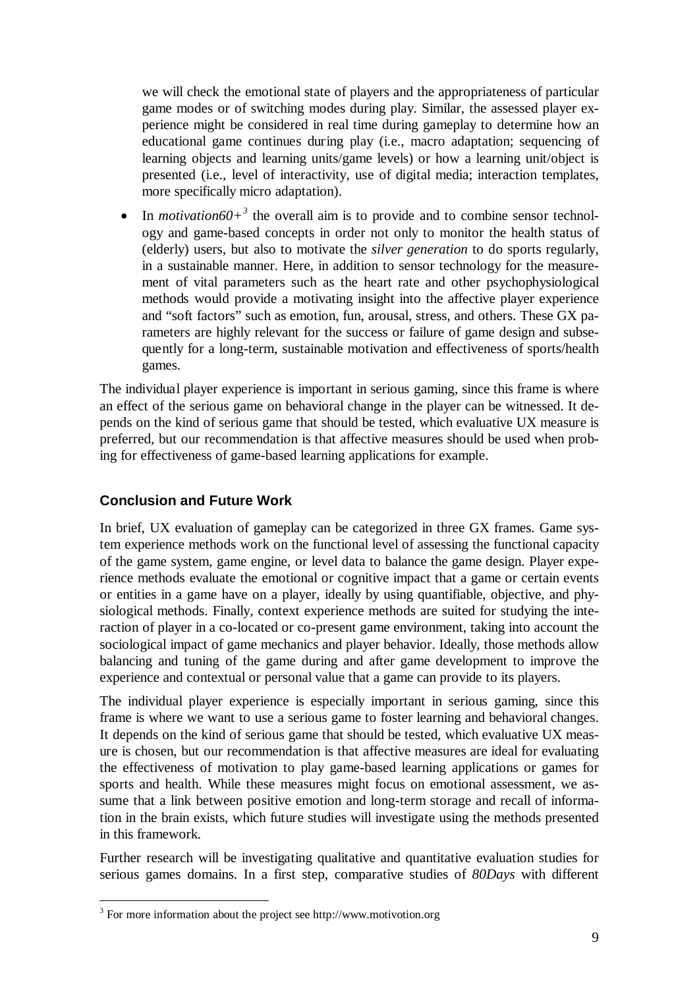we will check the emotional state of players and the appropriateness of particular game modes or of switching modes during play. Similar, the assessed player experience might be considered in real time during gameplay to determine how an educational game continues during play (i.e., macro adaptation; sequencing of learning objects and learning units/game levels) or how a learning unit/object is presented (i.e., level of interactivity, use of digital media; interaction templates, more specifically micro adaptation).

• In *motivation60*<sup> $+$ <sup>[3](#page-8-0)</sup> the overall aim is to provide and to combine sensor technol-</sup> ogy and game-based concepts in order not only to monitor the health status of (elderly) users, but also to motivate the *silver generation* to do sports regularly, in a sustainable manner. Here, in addition to sensor technology for the measurement of vital parameters such as the heart rate and other psychophysiological methods would provide a motivating insight into the affective player experience and "soft factors" such as emotion, fun, arousal, stress, and others. These GX parameters are highly relevant for the success or failure of game design and subsequently for a long-term, sustainable motivation and effectiveness of sports/health games.

The individual player experience is important in serious gaming, since this frame is where an effect of the serious game on behavioral change in the player can be witnessed. It depends on the kind of serious game that should be tested, which evaluative UX measure is preferred, but our recommendation is that affective measures should be used when probing for effectiveness of game-based learning applications for example.

## **Conclusion and Future Work**

In brief, UX evaluation of gameplay can be categorized in three GX frames. Game system experience methods work on the functional level of assessing the functional capacity of the game system, game engine, or level data to balance the game design. Player experience methods evaluate the emotional or cognitive impact that a game or certain events or entities in a game have on a player, ideally by using quantifiable, objective, and physiological methods. Finally, context experience methods are suited for studying the interaction of player in a co-located or co-present game environment, taking into account the sociological impact of game mechanics and player behavior. Ideally, those methods allow balancing and tuning of the game during and after game development to improve the experience and contextual or personal value that a game can provide to its players.

The individual player experience is especially important in serious gaming, since this frame is where we want to use a serious game to foster learning and behavioral changes. It depends on the kind of serious game that should be tested, which evaluative UX measure is chosen, but our recommendation is that affective measures are ideal for evaluating the effectiveness of motivation to play game-based learning applications or games for sports and health. While these measures might focus on emotional assessment, we assume that a link between positive emotion and long-term storage and recall of information in the brain exists, which future studies will investigate using the methods presented in this framework.

Further research will be investigating qualitative and quantitative evaluation studies for serious games domains. In a first step, comparative studies of *80Days* with different

<span id="page-8-0"></span> <sup>3</sup> For more information about the project se[e http://www.motivotion.org](http://www.motivotion.org/)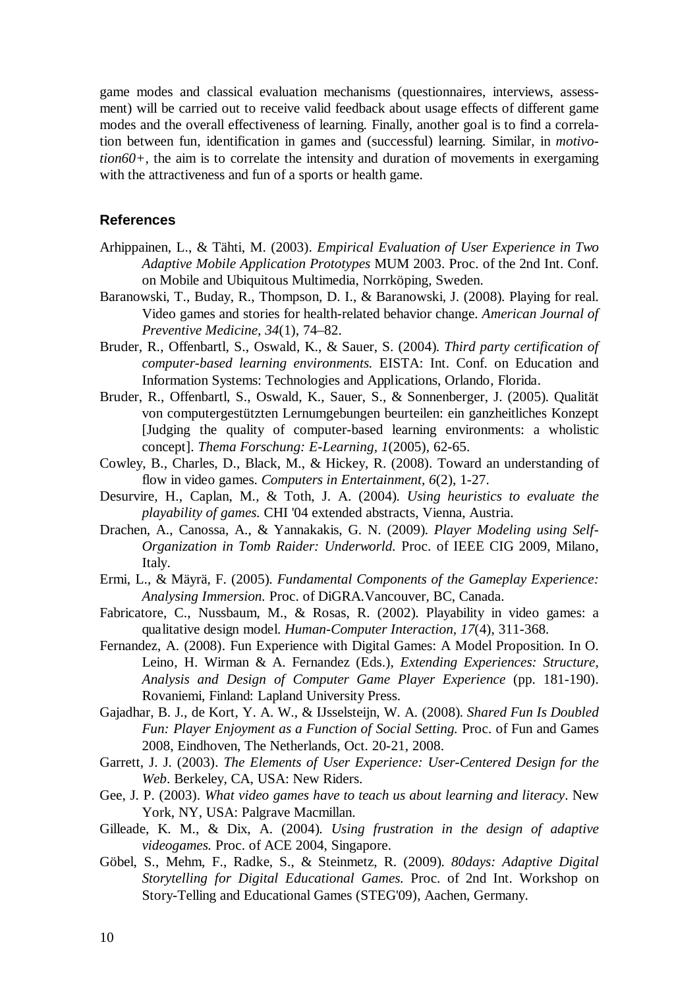game modes and classical evaluation mechanisms (questionnaires, interviews, assessment) will be carried out to receive valid feedback about usage effects of different game modes and the overall effectiveness of learning. Finally, another goal is to find a correlation between fun, identification in games and (successful) learning. Similar, in *motivotion60+,* the aim is to correlate the intensity and duration of movements in exergaming with the attractiveness and fun of a sports or health game.

#### **References**

- Arhippainen, L., & Tähti, M. (2003). *Empirical Evaluation of User Experience in Two Adaptive Mobile Application Prototypes* MUM 2003. Proc. of the 2nd Int. Conf. on Mobile and Ubiquitous Multimedia, Norrköping, Sweden.
- Baranowski, T., Buday, R., Thompson, D. I., & Baranowski, J. (2008). Playing for real. Video games and stories for health-related behavior change. *American Journal of Preventive Medicine, 34*(1), 74–82.
- Bruder, R., Offenbartl, S., Oswald, K., & Sauer, S. (2004). *Third party certification of computer-based learning environments.* EISTA: Int. Conf. on Education and Information Systems: Technologies and Applications, Orlando, Florida.
- Bruder, R., Offenbartl, S., Oswald, K., Sauer, S., & Sonnenberger, J. (2005). Qualität von computergestützten Lernumgebungen beurteilen: ein ganzheitliches Konzept [Judging the quality of computer-based learning environments: a wholistic concept]. *Thema Forschung: E-Learning, 1*(2005), 62-65.
- Cowley, B., Charles, D., Black, M., & Hickey, R. (2008). Toward an understanding of flow in video games. *Computers in Entertainment, 6*(2), 1-27.
- Desurvire, H., Caplan, M., & Toth, J. A. (2004). *Using heuristics to evaluate the playability of games.* CHI '04 extended abstracts, Vienna, Austria.
- Drachen, A., Canossa, A., & Yannakakis, G. N. (2009). *Player Modeling using Self-Organization in Tomb Raider: Underworld.* Proc. of IEEE CIG 2009, Milano, Italy.
- Ermi, L., & Mäyrä, F. (2005). *Fundamental Components of the Gameplay Experience: Analysing Immersion.* Proc. of DiGRA.Vancouver, BC, Canada.
- Fabricatore, C., Nussbaum, M., & Rosas, R. (2002). Playability in video games: a qualitative design model. *Human-Computer Interaction, 17*(4), 311-368.
- Fernandez, A. (2008). Fun Experience with Digital Games: A Model Proposition. In O. Leino, H. Wirman & A. Fernandez (Eds.), *Extending Experiences: Structure, Analysis and Design of Computer Game Player Experience* (pp. 181-190). Rovaniemi, Finland: Lapland University Press.
- Gajadhar, B. J., de Kort, Y. A. W., & IJsselsteijn, W. A. (2008). *Shared Fun Is Doubled Fun: Player Enjoyment as a Function of Social Setting.* Proc. of Fun and Games 2008, Eindhoven, The Netherlands, Oct. 20-21, 2008.
- Garrett, J. J. (2003). *The Elements of User Experience: User-Centered Design for the Web*. Berkeley, CA, USA: New Riders.
- Gee, J. P. (2003). *What video games have to teach us about learning and literacy*. New York, NY, USA: Palgrave Macmillan.
- Gilleade, K. M., & Dix, A. (2004). *Using frustration in the design of adaptive videogames.* Proc. of ACE 2004, Singapore.
- Göbel, S., Mehm, F., Radke, S., & Steinmetz, R. (2009). *80days: Adaptive Digital Storytelling for Digital Educational Games.* Proc. of 2nd Int. Workshop on Story-Telling and Educational Games (STEG'09), Aachen, Germany.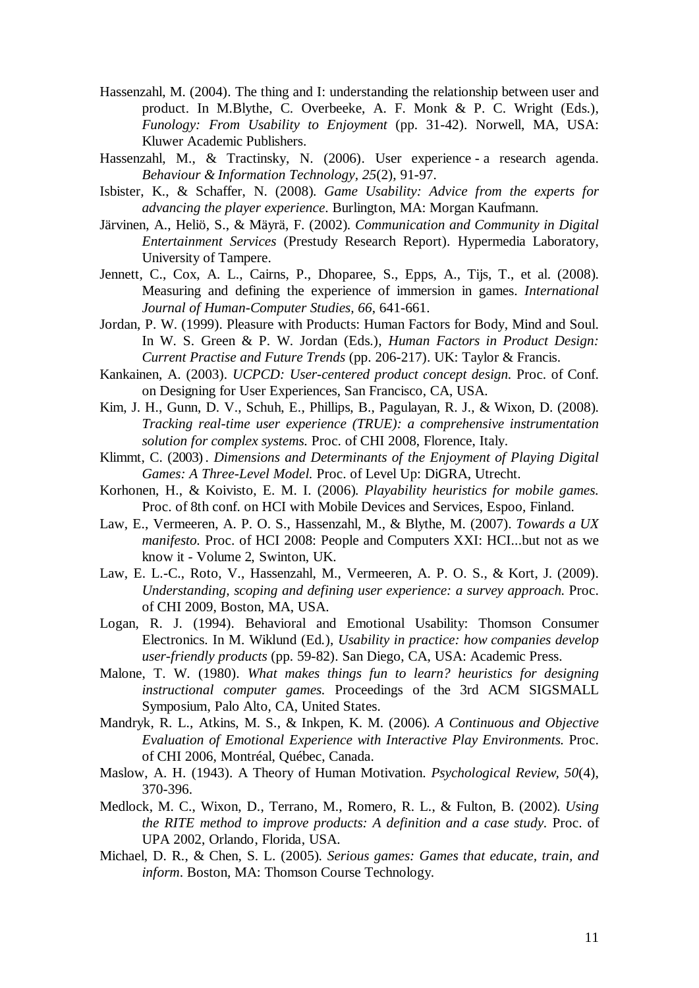- Hassenzahl, M. (2004). The thing and I: understanding the relationship between user and product. In M.Blythe, C. Overbeeke, A. F. Monk & P. C. Wright (Eds.), *Funology: From Usability to Enjoyment* (pp. 31-42). Norwell, MA, USA: Kluwer Academic Publishers.
- Hassenzahl, M., & Tractinsky, N. (2006). User experience a research agenda. *Behaviour & Information Technology, 25*(2), 91-97.
- Isbister, K., & Schaffer, N. (2008). *Game Usability: Advice from the experts for advancing the player experience*. Burlington, MA: Morgan Kaufmann.
- Järvinen, A., Heliö, S., & Mäyrä, F. (2002). *Communication and Community in Digital Entertainment Services* (Prestudy Research Report). Hypermedia Laboratory, University of Tampere.
- Jennett, C., Cox, A. L., Cairns, P., Dhoparee, S., Epps, A., Tijs, T., et al. (2008). Measuring and defining the experience of immersion in games. *International Journal of Human-Computer Studies, 66*, 641-661.
- Jordan, P. W. (1999). Pleasure with Products: Human Factors for Body, Mind and Soul. In W. S. Green & P. W. Jordan (Eds.), *Human Factors in Product Design: Current Practise and Future Trends* (pp. 206-217). UK: Taylor & Francis.
- Kankainen, A. (2003). *UCPCD: User-centered product concept design.* Proc. of Conf. on Designing for User Experiences, San Francisco, CA, USA.
- Kim, J. H., Gunn, D. V., Schuh, E., Phillips, B., Pagulayan, R. J., & Wixon, D. (2008). *Tracking real-time user experience (TRUE): a comprehensive instrumentation solution for complex systems.* Proc. of CHI 2008, Florence, Italy.
- Klimmt, C. (2003) . *Dimensions and Determinants of the Enjoyment of Playing Digital Games: A Three-Level Model.* Proc. of Level Up: DiGRA, Utrecht.
- Korhonen, H., & Koivisto, E. M. I. (2006). *Playability heuristics for mobile games.* Proc. of 8th conf. on HCI with Mobile Devices and Services, Espoo, Finland.
- Law, E., Vermeeren, A. P. O. S., Hassenzahl, M., & Blythe, M. (2007). *Towards a UX manifesto.* Proc. of HCI 2008: People and Computers XXI: HCI...but not as we know it - Volume 2, Swinton, UK.
- Law, E. L.-C., Roto, V., Hassenzahl, M., Vermeeren, A. P. O. S., & Kort, J. (2009). *Understanding, scoping and defining user experience: a survey approach.* Proc. of CHI 2009, Boston, MA, USA.
- Logan, R. J. (1994). Behavioral and Emotional Usability: Thomson Consumer Electronics. In M. Wiklund (Ed.), *Usability in practice: how companies develop user-friendly products* (pp. 59-82). San Diego, CA, USA: Academic Press.
- Malone, T. W. (1980). *What makes things fun to learn? heuristics for designing instructional computer games.* Proceedings of the 3rd ACM SIGSMALL Symposium, Palo Alto, CA, United States.
- Mandryk, R. L., Atkins, M. S., & Inkpen, K. M. (2006). *A Continuous and Objective Evaluation of Emotional Experience with Interactive Play Environments.* Proc. of CHI 2006, Montréal, Québec, Canada.
- Maslow, A. H. (1943). A Theory of Human Motivation. *Psychological Review, 50*(4), 370-396.
- Medlock, M. C., Wixon, D., Terrano, M., Romero, R. L., & Fulton, B. (2002). *Using the RITE method to improve products: A definition and a case study.* Proc. of UPA 2002, Orlando, Florida, USA.
- Michael, D. R., & Chen, S. L. (2005). *Serious games: Games that educate, train, and inform*. Boston, MA: Thomson Course Technology.